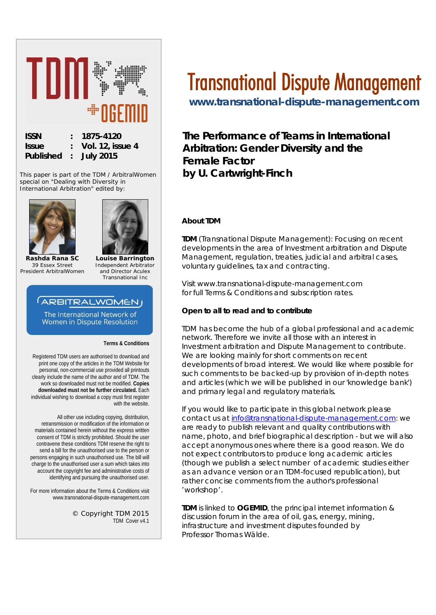

This paper is part of the TDM / ArbitralWomen special on "*Dealing with Diversity in International Arbitration*" edited by:





**Rashda Rana SC** *39 Essex Street President ArbitralWomen*

**Louise Barrington** *Independent Arbitrator and Director Aculex Transnational Inc*

# **ARBITRALWOMENJ**

The International Network of Women in Dispute Resolution

**Terms & Conditions**

Registered TDM users are authorised to download and print one copy of the articles in the TDM Website for personal, non-commercial use provided all printouts clearly include the name of the author and of TDM. The work so downloaded must not be modified. **Copies downloaded must not be further circulated.** Each individual wishing to download a copy must first register with the website.

All other use including copying, distribution, retransmission or modification of the information or materials contained herein without the express written consent of TDM is strictly prohibited. Should the user contravene these conditions TDM reserve the right to send a bill for the unauthorised use to the person or persons engaging in such unauthorised use. The bill will charge to the unauthorised user a sum which takes into account the copyright fee and administrative costs of identifying and pursuing the unauthorised user.

For more information about the Terms & Conditions visit www.transnational-dispute-management.com

> © Copyright TDM 2015 TDM Cover v4.1

# Transnational Dispute Management

**[www.transnational-dispute-management.com](http://www.transnational-dispute-management.com/)** 

**The Performance of Teams in International Arbitration: Gender Diversity and the Female Factor by U. Cartwright-Finch**

#### **About TDM**

**TDM** (Transnational Dispute Management): Focusing on recent developments in the area of Investment arbitration and Dispute Management, regulation, treaties, judicial and arbitral cases, voluntary guidelines, tax and contracting.

Visit www.transnational-dispute-management.com for full Terms & Conditions and subscription rates.

#### **Open to all to read and to contribute**

TDM has become the hub of a global professional and academic network. Therefore we invite all those with an interest in Investment arbitration and Dispute Management to contribute. We are looking mainly for short comments on recent developments of broad interest. We would like where possible for such comments to be backed-up by provision of in-depth notes and articles (which we will be published in our 'knowledge bank') and primary legal and regulatory materials.

If you would like to participate in this global network please contact us at [info@transnational-dispute-management.com:](mailto:info@transnational-dispute-management.com) we are ready to publish relevant and quality contributions with name, photo, and brief biographical description - but we will also accept anonymous ones where there is a good reason. We do not expect contributors to produce long academic articles (though we publish a select number of academic studies either as an advance version or an TDM-focused republication), but rather concise comments from the author's professional 'workshop'.

**TDM** is linked to **OGEMID**, the principal internet information & discussion forum in the area of oil, gas, energy, mining, infrastructure and investment disputes founded by Professor Thomas Wälde.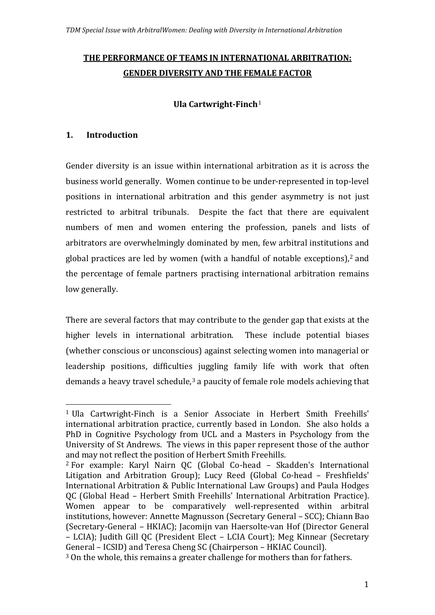# **THE PERFORMANCE OF TEAMS IN INTERNATIONAL ARBITRATION: GENDER DIVERSITY AND THE FEMALE FACTOR**

## **Ula Cartwright-Finch**[1](#page-1-0)

## **1. Introduction**

Gender diversity is an issue within international arbitration as it is across the business world generally. Women continue to be under-represented in top-level positions in international arbitration and this gender asymmetry is not just restricted to arbitral tribunals. Despite the fact that there are equivalent numbers of men and women entering the profession, panels and lists of arbitrators are overwhelmingly dominated by men, few arbitral institutions and global practices are led by women (with a handful of notable exceptions), $2$  and the percentage of female partners practising international arbitration remains low generally.

There are several factors that may contribute to the gender gap that exists at the higher levels in international arbitration. These include potential biases (whether conscious or unconscious) against selecting women into managerial or leadership positions, difficulties juggling family life with work that often demands a heavy travel schedule,<sup>[3](#page-1-2)</sup> a paucity of female role models achieving that

<span id="page-1-0"></span> <sup>1</sup> Ula Cartwright-Finch is a Senior Associate in Herbert Smith Freehills' international arbitration practice, currently based in London. She also holds a PhD in Cognitive Psychology from UCL and a Masters in Psychology from the University of St Andrews. The views in this paper represent those of the author and may not reflect the position of Herbert Smith Freehills.

<span id="page-1-1"></span><sup>2</sup> For example: Karyl Nairn QC (Global Co-head – Skadden's International Litigation and Arbitration Group); Lucy Reed (Global Co-head – Freshfields' International Arbitration & Public International Law Groups) and Paula Hodges QC (Global Head – Herbert Smith Freehills' International Arbitration Practice). Women appear to be comparatively well-represented within arbitral institutions, however: Annette Magnusson (Secretary General – SCC); Chiann Bao (Secretary-General – HKIAC); Jacomijn van Haersolte-van Hof (Director General – LCIA); Judith Gill QC (President Elect – LCIA Court); Meg Kinnear (Secretary General – ICSID) and Teresa Cheng SC (Chairperson – HKIAC Council).

<span id="page-1-2"></span><sup>3</sup> On the whole, this remains a greater challenge for mothers than for fathers.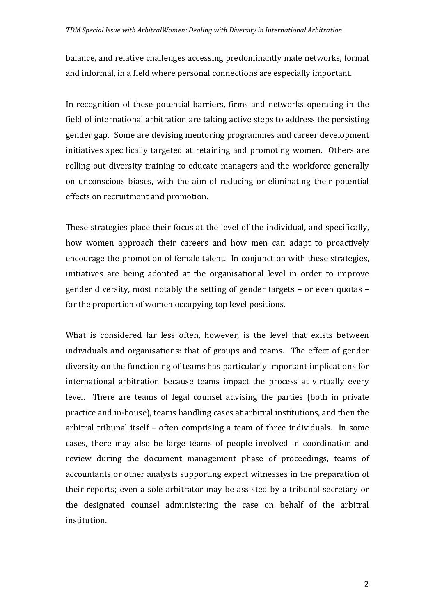balance, and relative challenges accessing predominantly male networks, formal and informal, in a field where personal connections are especially important.

In recognition of these potential barriers, firms and networks operating in the field of international arbitration are taking active steps to address the persisting gender gap. Some are devising mentoring programmes and career development initiatives specifically targeted at retaining and promoting women. Others are rolling out diversity training to educate managers and the workforce generally on unconscious biases, with the aim of reducing or eliminating their potential effects on recruitment and promotion.

These strategies place their focus at the level of the individual, and specifically, how women approach their careers and how men can adapt to proactively encourage the promotion of female talent. In conjunction with these strategies, initiatives are being adopted at the organisational level in order to improve gender diversity, most notably the setting of gender targets – or even quotas – for the proportion of women occupying top level positions.

What is considered far less often, however, is the level that exists between individuals and organisations: that of groups and teams. The effect of gender diversity on the functioning of teams has particularly important implications for international arbitration because teams impact the process at virtually every level. There are teams of legal counsel advising the parties (both in private practice and in-house), teams handling cases at arbitral institutions, and then the arbitral tribunal itself – often comprising a team of three individuals. In some cases, there may also be large teams of people involved in coordination and review during the document management phase of proceedings, teams of accountants or other analysts supporting expert witnesses in the preparation of their reports; even a sole arbitrator may be assisted by a tribunal secretary or the designated counsel administering the case on behalf of the arbitral institution.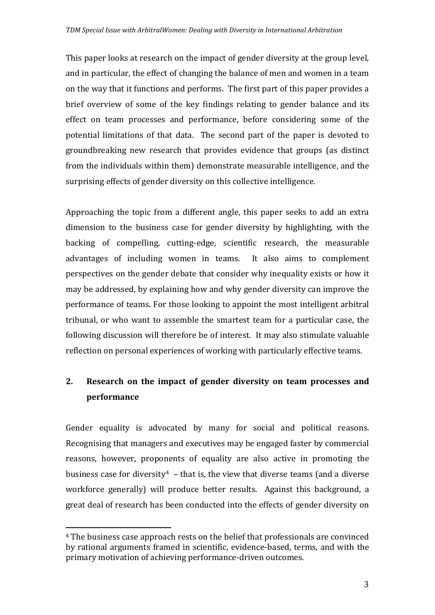This paper looks at research on the impact of gender diversity at the group level, and in particular, the effect of changing the balance of men and women in a team on the way that it functions and performs. The first part of this paper provides a brief overview of some of the key findings relating to gender balance and its effect on team processes and performance, before considering some of the potential limitations of that data. The second part of the paper is devoted to groundbreaking new research that provides evidence that groups (as distinct from the individuals within them) demonstrate measurable intelligence, and the surprising effects of gender diversity on this collective intelligence.

Approaching the topic from a different angle, this paper seeks to add an extra dimension to the business case for gender diversity by highlighting, with the backing of compelling, cutting-edge, scientific research, the measurable advantages of including women in teams. It also aims to complement perspectives on the gender debate that consider why inequality exists or how it may be addressed, by explaining how and why gender diversity can improve the performance of teams. For those looking to appoint the most intelligent arbitral tribunal, or who want to assemble the smartest team for a particular case, the following discussion will therefore be of interest. It may also stimulate valuable reflection on personal experiences of working with particularly effective teams.

# **2. Research on the impact of gender diversity on team processes and performance**

Gender equality is advocated by many for social and political reasons. Recognising that managers and executives may be engaged faster by commercial reasons, however, proponents of equality are also active in promoting the business case for diversity<sup>4</sup> – that is, the view that diverse teams (and a diverse workforce generally) will produce better results. Against this background, a great deal of research has been conducted into the effects of gender diversity on

<span id="page-3-0"></span> <sup>4</sup> The business case approach rests on the belief that professionals are convinced by rational arguments framed in scientific, evidence-based, terms, and with the primary motivation of achieving performance-driven outcomes.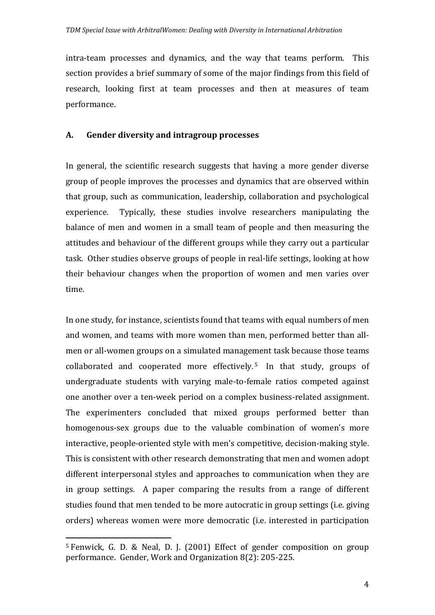intra-team processes and dynamics, and the way that teams perform. This section provides a brief summary of some of the major findings from this field of research, looking first at team processes and then at measures of team performance.

#### **A. Gender diversity and intragroup processes**

In general, the scientific research suggests that having a more gender diverse group of people improves the processes and dynamics that are observed within that group, such as communication, leadership, collaboration and psychological experience. Typically, these studies involve researchers manipulating the balance of men and women in a small team of people and then measuring the attitudes and behaviour of the different groups while they carry out a particular task. Other studies observe groups of people in real-life settings, looking at how their behaviour changes when the proportion of women and men varies over time.

In one study, for instance, scientists found that teams with equal numbers of men and women, and teams with more women than men, performed better than allmen or all-women groups on a simulated management task because those teams collaborated and cooperated more effectively. [5](#page-4-0) In that study, groups of undergraduate students with varying male-to-female ratios competed against one another over a ten-week period on a complex business-related assignment. The experimenters concluded that mixed groups performed better than homogenous-sex groups due to the valuable combination of women's more interactive, people-oriented style with men's competitive, decision-making style. This is consistent with other research demonstrating that men and women adopt different interpersonal styles and approaches to communication when they are in group settings. A paper comparing the results from a range of different studies found that men tended to be more autocratic in group settings (i.e. giving orders) whereas women were more democratic (i.e. interested in participation

<span id="page-4-0"></span> <sup>5</sup> Fenwick, G. D. & Neal, D. J. (2001) Effect of gender composition on group performance. Gender, Work and Organization 8(2): 205-225.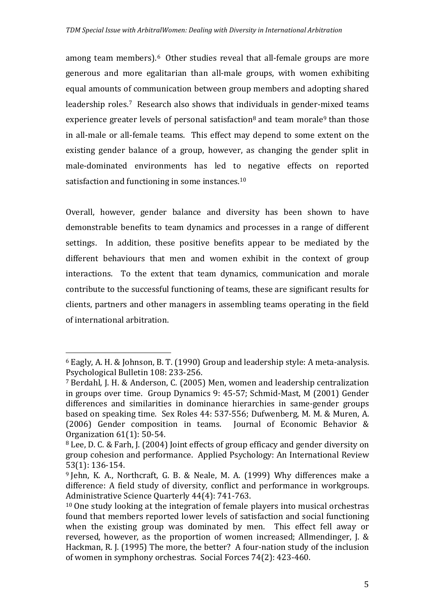among team members).<sup>[6](#page-5-0)</sup> Other studies reveal that all-female groups are more generous and more egalitarian than all-male groups, with women exhibiting equal amounts of communication between group members and adopting shared leadership roles.[7](#page-5-1) Research also shows that individuals in gender-mixed teams experience greater levels of personal satisfaction<sup>[8](#page-5-2)</sup> and team morale<sup>[9](#page-5-3)</sup> than those in all-male or all-female teams. This effect may depend to some extent on the existing gender balance of a group, however, as changing the gender split in male-dominated environments has led to negative effects on reported satisfaction and functioning in some instances.<sup>[10](#page-5-4)</sup>

Overall, however, gender balance and diversity has been shown to have demonstrable benefits to team dynamics and processes in a range of different settings. In addition, these positive benefits appear to be mediated by the different behaviours that men and women exhibit in the context of group interactions. To the extent that team dynamics, communication and morale contribute to the successful functioning of teams, these are significant results for clients, partners and other managers in assembling teams operating in the field of international arbitration.

<span id="page-5-0"></span> <sup>6</sup> Eagly, A. H. & Johnson, B. T. (1990) Group and leadership style: A meta-analysis. Psychological Bulletin 108: 233-256.

<span id="page-5-1"></span><sup>7</sup> Berdahl, J. H. & Anderson, C. (2005) Men, women and leadership centralization in groups over time. Group Dynamics 9: 45-57; Schmid-Mast, M (2001) Gender differences and similarities in dominance hierarchies in same-gender groups based on speaking time. Sex Roles 44: 537-556; Dufwenberg, M. M. & Muren, A. (2006) Gender composition in teams. Journal of Economic Behavior & Organization 61(1): 50-54.

<span id="page-5-2"></span><sup>8</sup> Lee, D. C. & Farh, J. (2004) Joint effects of group efficacy and gender diversity on group cohesion and performance. Applied Psychology: An International Review 53(1): 136-154.

<span id="page-5-3"></span><sup>9</sup> Jehn, K. A., Northcraft, G. B. & Neale, M. A. (1999) Why differences make a difference: A field study of diversity, conflict and performance in workgroups. Administrative Science Quarterly 44(4): 741-763.

<span id="page-5-4"></span><sup>&</sup>lt;sup>10</sup> One study looking at the integration of female players into musical orchestras found that members reported lower levels of satisfaction and social functioning when the existing group was dominated by men. This effect fell away or reversed, however, as the proportion of women increased; Allmendinger, J. & Hackman, R. J. (1995) The more, the better? A four-nation study of the inclusion of women in symphony orchestras. Social Forces 74(2): 423-460.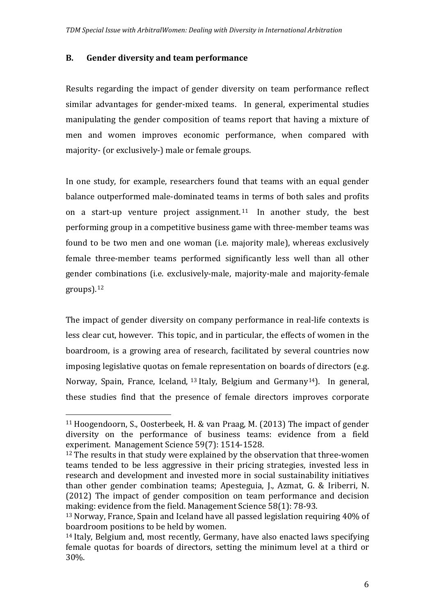#### **B. Gender diversity and team performance**

Results regarding the impact of gender diversity on team performance reflect similar advantages for gender-mixed teams. In general, experimental studies manipulating the gender composition of teams report that having a mixture of men and women improves economic performance, when compared with majority- (or exclusively-) male or female groups.

In one study, for example, researchers found that teams with an equal gender balance outperformed male-dominated teams in terms of both sales and profits on a start-up venture project assignment.<sup>[11](#page-6-0)</sup> In another study, the best performing group in a competitive business game with three-member teams was found to be two men and one woman (i.e. majority male), whereas exclusively female three-member teams performed significantly less well than all other gender combinations (i.e. exclusively-male, majority-male and majority-female groups).[12](#page-6-1)

The impact of gender diversity on company performance in real-life contexts is less clear cut, however. This topic, and in particular, the effects of women in the boardroom, is a growing area of research, facilitated by several countries now imposing legislative quotas on fe[ma](#page-6-2)le representation on boards of directors (e.g. Norway, Spain, France, Iceland, <sup>13</sup> Italy, Belgium and Germany[14](#page-6-3)). In general, these studies find that the presence of female directors improves corporate

<span id="page-6-0"></span> <sup>11</sup> Hoogendoorn, S., Oosterbeek, H. & van Praag, M. (2013) The impact of gender diversity on the performance of business teams: evidence from a field experiment. Management Science 59(7): 1514-1528.

<span id="page-6-1"></span><sup>&</sup>lt;sup>12</sup> The results in that study were explained by the observation that three-women teams tended to be less aggressive in their pricing strategies, invested less in research and development and invested more in social sustainability initiatives than other gender combination teams; Apesteguia, J., Azmat, G. & Iriberri, N. (2012) The impact of gender composition on team performance and decision making: evidence from the field. Management Science 58(1): 78-93.

<span id="page-6-2"></span><sup>13</sup> Norway, France, Spain and Iceland have all passed legislation requiring 40% of boardroom positions to be held by women.

<span id="page-6-3"></span><sup>14</sup> Italy, Belgium and, most recently, Germany, have also enacted laws specifying female quotas for boards of directors, setting the minimum level at a third or 30%.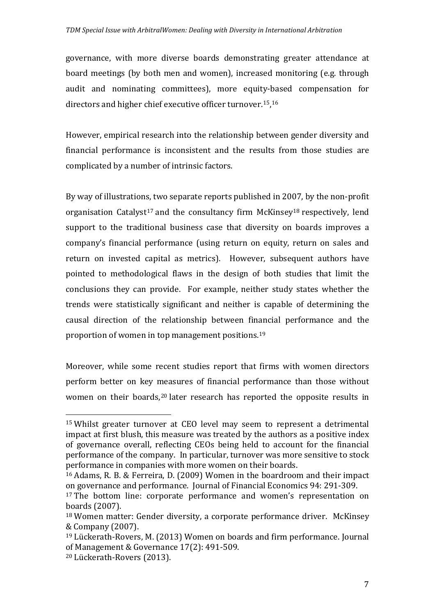governance, with more diverse boards demonstrating greater attendance at board meetings (by both men and women), increased monitoring (e.g. through audit and nominating committees), more equity-based compensation for directors and higher chief executive officer turnover.[15](#page-7-0),[16](#page-7-1) 

However, empirical research into the relationship between gender diversity and financial performance is inconsistent and the results from those studies are complicated by a number of intrinsic factors.

By way of illustrations, two separate reports published in 2007, by the non-profit organisation Catalyst<sup>[17](#page-7-2)</sup> and the consultancy firm McKinsey<sup>[18](#page-7-3)</sup> respectively, lend support to the traditional business case that diversity on boards improves a company's financial performance (using return on equity, return on sales and return on invested capital as metrics). However, subsequent authors have pointed to methodological flaws in the design of both studies that limit the conclusions they can provide. For example, neither study states whether the trends were statistically significant and neither is capable of determining the causal direction of the relationship between financial performance and the proportion of women in top management positions.[19](#page-7-4)

Moreover, while some recent studies report that firms with women directors perform better on key measures of financial performance than those without women on their boards,<sup>[20](#page-7-5)</sup> later research has reported the opposite results in

<span id="page-7-0"></span> <sup>15</sup> Whilst greater turnover at CEO level may seem to represent a detrimental impact at first blush, this measure was treated by the authors as a positive index of governance overall, reflecting CEOs being held to account for the financial performance of the company. In particular, turnover was more sensitive to stock performance in companies with more women on their boards.

<span id="page-7-1"></span><sup>16</sup> Adams, R. B. & Ferreira, D. (2009) Women in the boardroom and their impact on governance and performance. Journal of Financial Economics 94: 291-309.

<span id="page-7-2"></span><sup>&</sup>lt;sup>17</sup> The bottom line: corporate performance and women's representation on boards (2007).

<span id="page-7-3"></span><sup>18</sup> Women matter: Gender diversity, a corporate performance driver. McKinsey & Company (2007).

<span id="page-7-4"></span><sup>19</sup> Lückerath-Rovers, M. (2013) Women on boards and firm performance. Journal of Management & Governance 17(2): 491-509.

<span id="page-7-5"></span><sup>20</sup> Lückerath-Rovers (2013).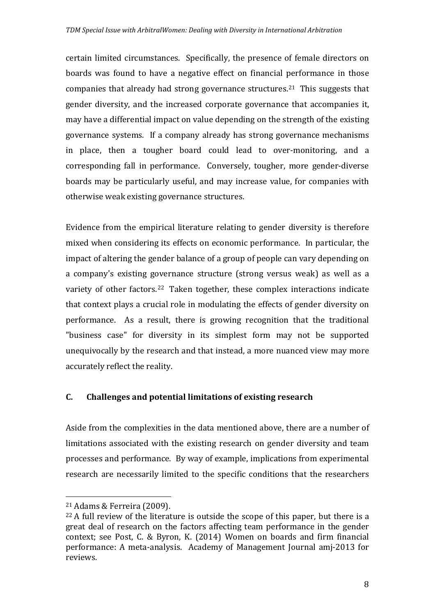certain limited circumstances. Specifically, the presence of female directors on boards was found to have a negative effect on financial performance in those companies that already had strong governance structures.[21](#page-8-0) This suggests that gender diversity, and the increased corporate governance that accompanies it, may have a differential impact on value depending on the strength of the existing governance systems. If a company already has strong governance mechanisms in place, then a tougher board could lead to over-monitoring, and a corresponding fall in performance. Conversely, tougher, more gender-diverse boards may be particularly useful, and may increase value, for companies with otherwise weak existing governance structures.

Evidence from the empirical literature relating to gender diversity is therefore mixed when considering its effects on economic performance. In particular, the impact of altering the gender balance of a group of people can vary depending on a company's existing governance structure (strong versus weak) as well as a variety of other factors.<sup>22</sup> Taken together, these complex interactions indicate that context plays a crucial role in modulating the effects of gender diversity on performance. As a result, there is growing recognition that the traditional "business case" for diversity in its simplest form may not be supported unequivocally by the research and that instead, a more nuanced view may more accurately reflect the reality.

# **C. Challenges and potential limitations of existing research**

Aside from the complexities in the data mentioned above, there are a number of limitations associated with the existing research on gender diversity and team processes and performance. By way of example, implications from experimental research are necessarily limited to the specific conditions that the researchers

<span id="page-8-0"></span> <sup>21</sup> Adams & Ferreira (2009).

<span id="page-8-1"></span><sup>22</sup> A full review of the literature is outside the scope of this paper, but there is a great deal of research on the factors affecting team performance in the gender context; see Post, C. & Byron, K. (2014) Women on boards and firm financial performance: A meta-analysis. Academy of Management Journal amj-2013 for reviews.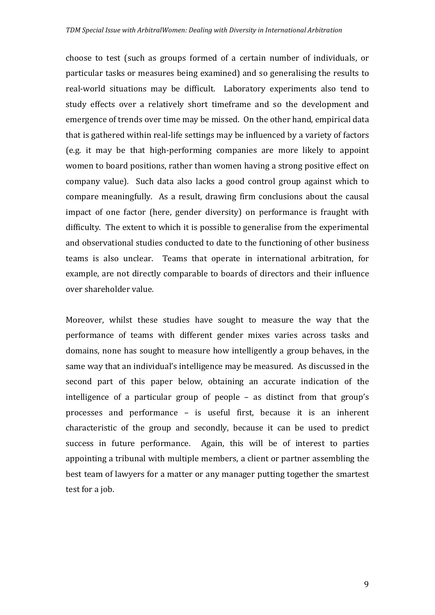choose to test (such as groups formed of a certain number of individuals, or particular tasks or measures being examined) and so generalising the results to real-world situations may be difficult. Laboratory experiments also tend to study effects over a relatively short timeframe and so the development and emergence of trends over time may be missed. On the other hand, empirical data that is gathered within real-life settings may be influenced by a variety of factors (e.g. it may be that high-performing companies are more likely to appoint women to board positions, rather than women having a strong positive effect on company value). Such data also lacks a good control group against which to compare meaningfully. As a result, drawing firm conclusions about the causal impact of one factor (here, gender diversity) on performance is fraught with difficulty. The extent to which it is possible to generalise from the experimental and observational studies conducted to date to the functioning of other business teams is also unclear. Teams that operate in international arbitration, for example, are not directly comparable to boards of directors and their influence over shareholder value.

Moreover, whilst these studies have sought to measure the way that the performance of teams with different gender mixes varies across tasks and domains, none has sought to measure how intelligently a group behaves, in the same way that an individual's intelligence may be measured. As discussed in the second part of this paper below, obtaining an accurate indication of the intelligence of a particular group of people – as distinct from that group's processes and performance – is useful first, because it is an inherent characteristic of the group and secondly, because it can be used to predict success in future performance. Again, this will be of interest to parties appointing a tribunal with multiple members, a client or partner assembling the best team of lawyers for a matter or any manager putting together the smartest test for a job.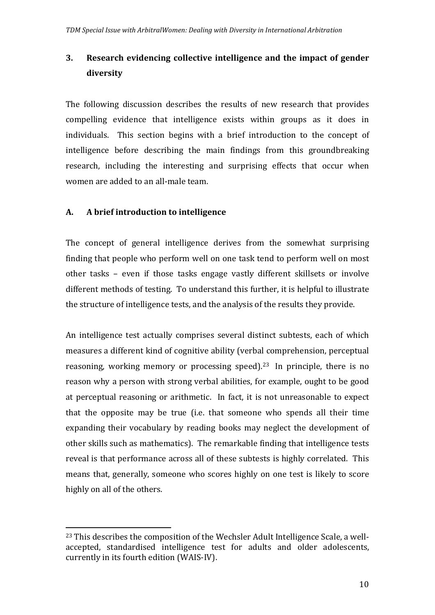# **3. Research evidencing collective intelligence and the impact of gender diversity**

The following discussion describes the results of new research that provides compelling evidence that intelligence exists within groups as it does in individuals. This section begins with a brief introduction to the concept of intelligence before describing the main findings from this groundbreaking research, including the interesting and surprising effects that occur when women are added to an all-male team.

## **A. A brief introduction to intelligence**

The concept of general intelligence derives from the somewhat surprising finding that people who perform well on one task tend to perform well on most other tasks – even if those tasks engage vastly different skillsets or involve different methods of testing. To understand this further, it is helpful to illustrate the structure of intelligence tests, and the analysis of the results they provide.

An intelligence test actually comprises several distinct subtests, each of which measures a different kind of cognitive ability (verbal comprehension, perceptual reasoning, working memory or processing speed).[23](#page-10-0) In principle, there is no reason why a person with strong verbal abilities, for example, ought to be good at perceptual reasoning or arithmetic. In fact, it is not unreasonable to expect that the opposite may be true (i.e. that someone who spends all their time expanding their vocabulary by reading books may neglect the development of other skills such as mathematics). The remarkable finding that intelligence tests reveal is that performance across all of these subtests is highly correlated. This means that, generally, someone who scores highly on one test is likely to score highly on all of the others.

<span id="page-10-0"></span> <sup>23</sup> This describes the composition of the Wechsler Adult Intelligence Scale, a wellaccepted, standardised intelligence test for adults and older adolescents, currently in its fourth edition (WAIS-IV).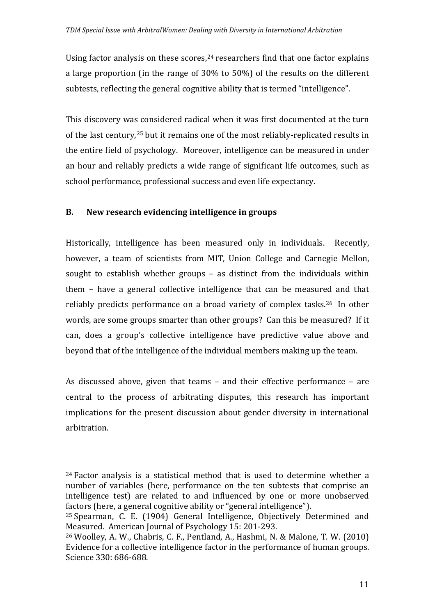Using factor analysis on these scores, $24$  researchers find that one factor explains a large proportion (in the range of 30% to 50%) of the results on the different subtests, reflecting the general cognitive ability that is termed "intelligence".

This discovery wa[s c](#page-11-1)onsidered radical when it was first documented at the turn of the last century,<sup>25</sup> but it remains one of the most reliably-replicated results in the entire field of psychology. Moreover, intelligence can be measured in under an hour and reliably predicts a wide range of significant life outcomes, such as school performance, professional success and even life expectancy.

# **B. New research evidencing intelligence in groups**

Historically, intelligence has been measured only in individuals. Recently, however, a team of scientists from MIT, Union College and Carnegie Mellon, sought to establish whether groups – as distinct from the individuals within them – have a general collective intelligence that can be measured and that reliably predicts performance on a broad variety of complex tasks. [26](#page-11-2) In other words, are some groups smarter than other groups? Can this be measured? If it can, does a group's collective intelligence have predictive value above and beyond that of the intelligence of the individual members making up the team.

As discussed above, given that teams – and their effective performance – are central to the process of arbitrating disputes, this research has important implications for the present discussion about gender diversity in international arbitration.

<span id="page-11-0"></span> <sup>24</sup> Factor analysis is a statistical method that is used to determine whether a number of variables (here, performance on the ten subtests that comprise an intelligence test) are related to and influenced by one or more unobserved factors (here, a general cognitive ability or "general intelligence").

<span id="page-11-1"></span><sup>25</sup> Spearman, C. E. (1904) General Intelligence, Objectively Determined and Measured. American Journal of Psychology 15: 201-293.

<span id="page-11-2"></span><sup>26</sup> Woolley, A. W., Chabris, C. F., Pentland, A., Hashmi, N. & Malone, T. W. (2010) Evidence for a collective intelligence factor in the performance of human groups. Science 330: 686-688.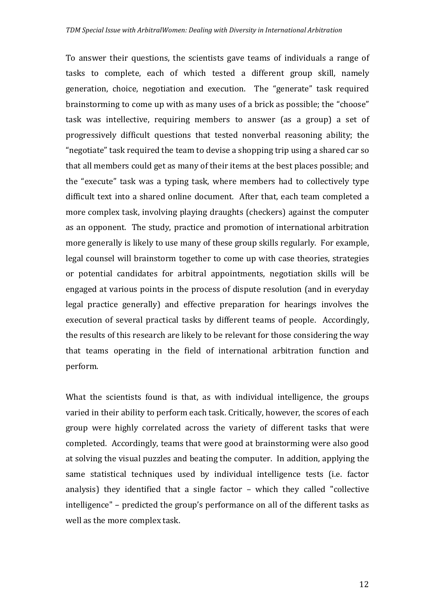To answer their questions, the scientists gave teams of individuals a range of tasks to complete, each of which tested a different group skill, namely generation, choice, negotiation and execution. The "generate" task required brainstorming to come up with as many uses of a brick as possible; the "choose" task was intellective, requiring members to answer (as a group) a set of progressively difficult questions that tested nonverbal reasoning ability; the "negotiate" task required the team to devise a shopping trip using a shared car so that all members could get as many of their items at the best places possible; and the "execute" task was a typing task, where members had to collectively type difficult text into a shared online document. After that, each team completed a more complex task, involving playing draughts (checkers) against the computer as an opponent. The study, practice and promotion of international arbitration more generally is likely to use many of these group skills regularly. For example, legal counsel will brainstorm together to come up with case theories, strategies or potential candidates for arbitral appointments, negotiation skills will be engaged at various points in the process of dispute resolution (and in everyday legal practice generally) and effective preparation for hearings involves the execution of several practical tasks by different teams of people. Accordingly, the results of this research are likely to be relevant for those considering the way that teams operating in the field of international arbitration function and perform.

What the scientists found is that, as with individual intelligence, the groups varied in their ability to perform each task. Critically, however, the scores of each group were highly correlated across the variety of different tasks that were completed. Accordingly, teams that were good at brainstorming were also good at solving the visual puzzles and beating the computer. In addition, applying the same statistical techniques used by individual intelligence tests (i.e. factor analysis) they identified that a single factor – which they called "collective intelligence" – predicted the group's performance on all of the different tasks as well as the more complex task.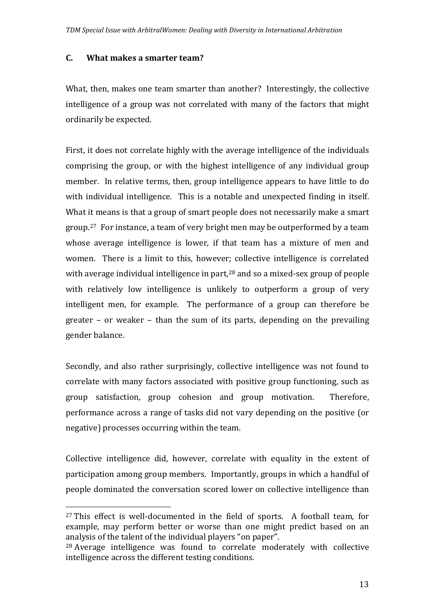#### **C. What makes a smarter team?**

What, then, makes one team smarter than another? Interestingly, the collective intelligence of a group was not correlated with many of the factors that might ordinarily be expected.

First, it does not correlate highly with the average intelligence of the individuals comprising the group, or with the highest intelligence of any individual group member. In relative terms, then, group intelligence appears to have little to do with individual intelligence. This is a notable and unexpected finding in itself. What it means is that a group of smart people does not necessarily make a smart group.[27](#page-13-0) For instance, a team of very bright men may be outperformed by a team whose average intelligence is lower, if that team has a mixture of men and women. There is a limit to this, howeve[r; c](#page-13-1)ollective intelligence is correlated with average individual intelligence in part, <sup>28</sup> and so a mixed-sex group of people with relatively low intelligence is unlikely to outperform a group of very intelligent men, for example. The performance of a group can therefore be greater – or weaker – than the sum of its parts, depending on the prevailing gender balance.

Secondly, and also rather surprisingly, collective intelligence was not found to correlate with many factors associated with positive group functioning, such as group satisfaction, group cohesion and group motivation. Therefore, performance across a range of tasks did not vary depending on the positive (or negative) processes occurring within the team.

Collective intelligence did, however, correlate with equality in the extent of participation among group members. Importantly, groups in which a handful of people dominated the conversation scored lower on collective intelligence than

<span id="page-13-0"></span><sup>&</sup>lt;sup>27</sup> This effect is well-documented in the field of sports. A football team, for example, may perform better or worse than one might predict based on an analysis of the talent of the individual players "on paper".

<span id="page-13-1"></span><sup>28</sup> Average intelligence was found to correlate moderately with collective intelligence across the different testing conditions.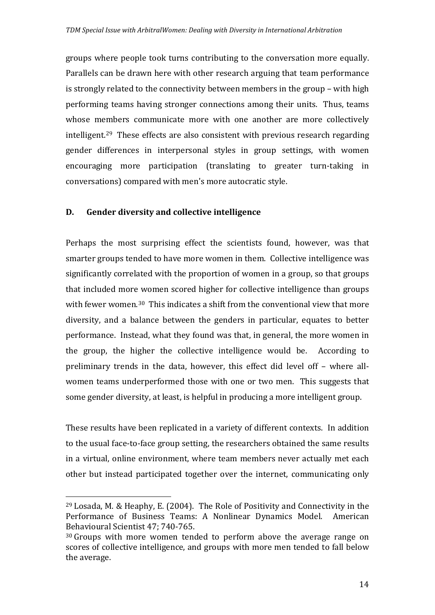groups where people took turns contributing to the conversation more equally. Parallels can be drawn here with other research arguing that team performance is strongly related to the connectivity between members in the group – with high performing teams having stronger connections among their units. Thus, teams whose me[m](#page-14-0)bers communicate more with one another are more collectively intelligent. <sup>29</sup> These effects are also consistent with previous research regarding gender differences in interpersonal styles in group settings, with women encouraging more participation (translating to greater turn-taking in conversations) compared with men's more autocratic style.

# **D. Gender diversity and collective intelligence**

Perhaps the most surprising effect the scientists found, however, was that smarter groups tended to have more women in them. Collective intelligence was significantly correlated with the proportion of women in a group, so that groups that included more women scored higher for collective intelligence than groups with fewer women.<sup>[30](#page-14-1)</sup> This indicates a shift from the conventional view that more diversity, and a balance between the genders in particular, equates to better performance. Instead, what they found was that, in general, the more women in the group, the higher the collective intelligence would be. According to preliminary trends in the data, however, this effect did level off – where allwomen teams underperformed those with one or two men. This suggests that some gender diversity, at least, is helpful in producing a more intelligent group.

These results have been replicated in a variety of different contexts. In addition to the usual face-to-face group setting, the researchers obtained the same results in a virtual, online environment, where team members never actually met each other but instead participated together over the internet, communicating only

<span id="page-14-0"></span> <sup>29</sup> Losada, M. & Heaphy, E. (2004). The Role of Positivity and Connectivity in the Performance of Business Teams: A Nonlinear Dynamics Model. American Behavioural Scientist 47; 740-765.

<span id="page-14-1"></span><sup>&</sup>lt;sup>30</sup> Groups with more women tended to perform above the average range on scores of collective intelligence, and groups with more men tended to fall below the average.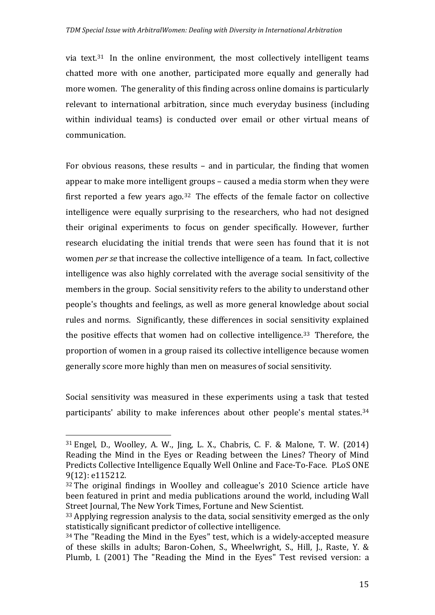via text. [31](#page-15-0) In the online environment, the most collectively intelligent teams chatted more with one another, participated more equally and generally had more women. The generality of this finding across online domains is particularly relevant to international arbitration, since much everyday business (including within individual teams) is conducted over email or other virtual means of communication.

For obvious reasons, these results – and in particular, the finding that women appear to make more intelligent groups – caused a media storm when they were first reported a few years ago.<sup>[32](#page-15-1)</sup> The effects of the female factor on collective intelligence were equally surprising to the researchers, who had not designed their original experiments to focus on gender specifically. However, further research elucidating the initial trends that were seen has found that it is not women *per se* that increase the collective intelligence of a team. In fact, collective intelligence was also highly correlated with the average social sensitivity of the members in the group. Social sensitivity refers to the ability to understand other people's thoughts and feelings, as well as more general knowledge about social rules and norms. Significantly, these differences in social sensitivity explained the positive effects that women had on collective intelligence.<sup>[33](#page-15-2)</sup> Therefore, the proportion of women in a group raised its collective intelligence because women generally score more highly than men on measures of social sensitivity.

Social sensitivity was measured in these experiments using a task that tested participants' ability to make inferences about other people's mental states.[34](#page-15-3) 

<span id="page-15-0"></span> <sup>31</sup> Engel, D., Woolley, A. W., Jing, L. X., Chabris, C. F. & Malone, T. W. (2014) Reading the Mind in the Eyes or Reading between the Lines? Theory of Mind Predicts Collective Intelligence Equally Well Online and Face-To-Face. PLoS ONE 9(12): e115212.

<span id="page-15-1"></span><sup>32</sup> The original findings in Woolley and colleague's 2010 Science article have been featured in print and media publications around the world, including Wall Street Journal, The New York Times, Fortune and New Scientist.

<span id="page-15-2"></span><sup>33</sup> Applying regression analysis to the data, social sensitivity emerged as the only statistically significant predictor of collective intelligence.

<span id="page-15-3"></span><sup>34</sup> The "Reading the Mind in the Eyes" test, which is a widely-accepted measure of these skills in adults; Baron-Cohen, S., Wheelwright, S., Hill, J., Raste, Y. & Plumb, I. (2001) The "Reading the Mind in the Eyes" Test revised version: a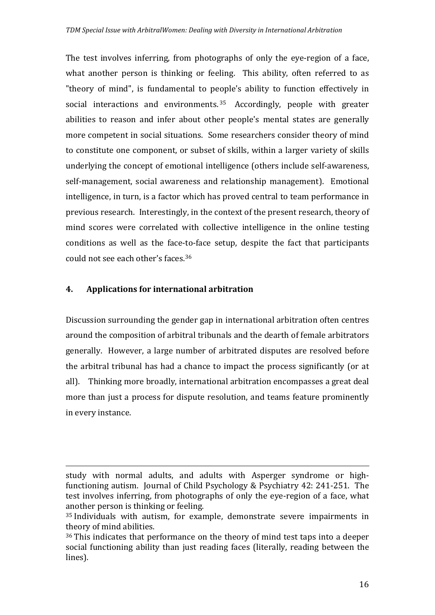The test involves inferring, from photographs of only the eye-region of a face, what another person is thinking or feeling. This ability, often referred to as "theory of mind", is fundamental to people's ability to function effectively in social interactions and environments.<sup>[35](#page-16-0)</sup> Accordingly, people with greater abilities to reason and infer about other people's mental states are generally more competent in social situations. Some researchers consider theory of mind to constitute one component, or subset of skills, within a larger variety of skills underlying the concept of emotional intelligence (others include self-awareness, self-management, social awareness and relationship management). Emotional intelligence, in turn, is a factor which has proved central to team performance in previous research. Interestingly, in the context of the present research, theory of mind scores were correlated with collective intelligence in the online testing conditions as well as the face-to-face setup, despite the fact that participants could not see each other's faces.[36](#page-16-1) 

## **4. Applications for international arbitration**

Discussion surrounding the gender gap in international arbitration often centres around the composition of arbitral tribunals and the dearth of female arbitrators generally. However, a large number of arbitrated disputes are resolved before the arbitral tribunal has had a chance to impact the process significantly (or at all). Thinking more broadly, international arbitration encompasses a great deal more than just a process for dispute resolution, and teams feature prominently in every instance.

i<br>I study with normal adults, and adults with Asperger syndrome or highfunctioning autism. Journal of Child Psychology & Psychiatry 42: 241-251. The test involves inferring, from photographs of only the eye-region of a face, what another person is thinking or feeling.

<span id="page-16-0"></span><sup>35</sup> Individuals with autism, for example, demonstrate severe impairments in theory of mind abilities.

<span id="page-16-1"></span><sup>36</sup> This indicates that performance on the theory of mind test taps into a deeper social functioning ability than just reading faces (literally, reading between the lines).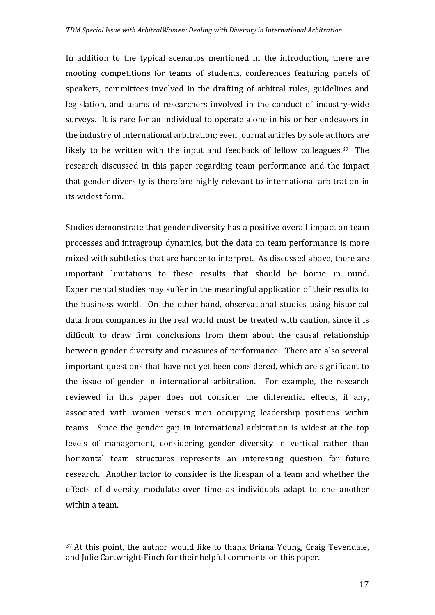In addition to the typical scenarios mentioned in the introduction, there are mooting competitions for teams of students, conferences featuring panels of speakers, committees involved in the drafting of arbitral rules, guidelines and legislation, and teams of researchers involved in the conduct of industry-wide surveys. It is rare for an individual to operate alone in his or her endeavors in the industry of international arbitration; even journal articles by sole authors are likely to be written with the input and feedback of fellow colleagues.[37](#page-17-0) The research discussed in this paper regarding team performance and the impact that gender diversity is therefore highly relevant to international arbitration in its widest form.

Studies demonstrate that gender diversity has a positive overall impact on team processes and intragroup dynamics, but the data on team performance is more mixed with subtleties that are harder to interpret. As discussed above, there are important limitations to these results that should be borne in mind. Experimental studies may suffer in the meaningful application of their results to the business world. On the other hand, observational studies using historical data from companies in the real world must be treated with caution, since it is difficult to draw firm conclusions from them about the causal relationship between gender diversity and measures of performance. There are also several important questions that have not yet been considered, which are significant to the issue of gender in international arbitration. For example, the research reviewed in this paper does not consider the differential effects, if any, associated with women versus men occupying leadership positions within teams. Since the gender gap in international arbitration is widest at the top levels of management, considering gender diversity in vertical rather than horizontal team structures represents an interesting question for future research. Another factor to consider is the lifespan of a team and whether the effects of diversity modulate over time as individuals adapt to one another within a team.

<span id="page-17-0"></span> $37$  At this point, the author would like to thank Briana Young, Craig Tevendale, and Julie Cartwright-Finch for their helpful comments on this paper.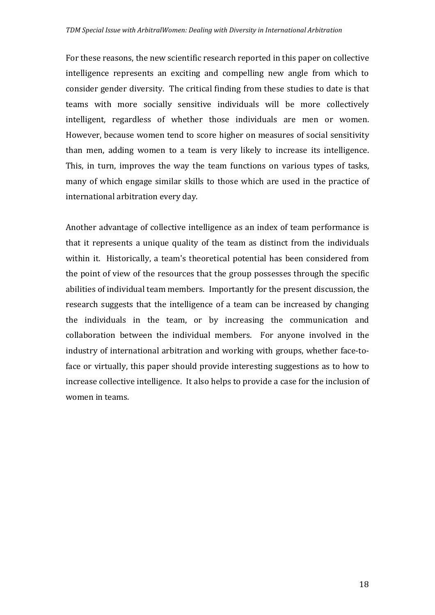For these reasons, the new scientific research reported in this paper on collective intelligence represents an exciting and compelling new angle from which to consider gender diversity. The critical finding from these studies to date is that teams with more socially sensitive individuals will be more collectively intelligent, regardless of whether those individuals are men or women. However, because women tend to score higher on measures of social sensitivity than men, adding women to a team is very likely to increase its intelligence. This, in turn, improves the way the team functions on various types of tasks, many of which engage similar skills to those which are used in the practice of international arbitration every day.

Another advantage of collective intelligence as an index of team performance is that it represents a unique quality of the team as distinct from the individuals within it. Historically, a team's theoretical potential has been considered from the point of view of the resources that the group possesses through the specific abilities of individual team members. Importantly for the present discussion, the research suggests that the intelligence of a team can be increased by changing the individuals in the team, or by increasing the communication and collaboration between the individual members. For anyone involved in the industry of international arbitration and working with groups, whether face-toface or virtually, this paper should provide interesting suggestions as to how to increase collective intelligence. It also helps to provide a case for the inclusion of women in teams.